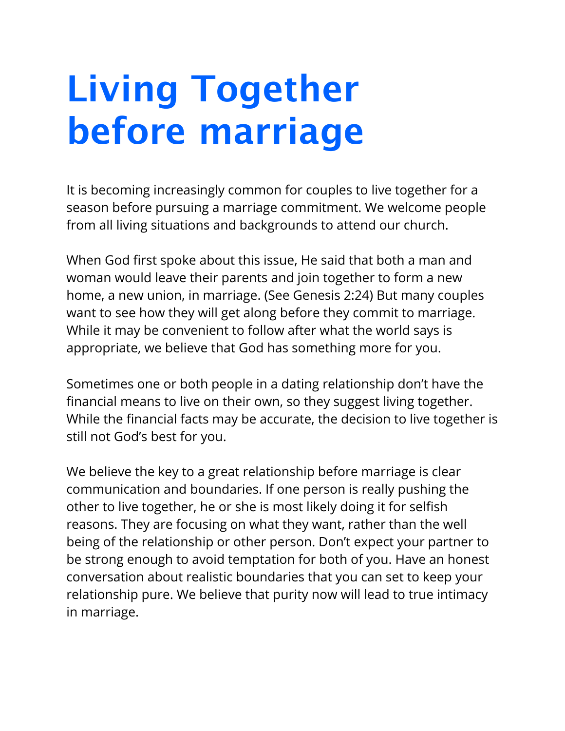## **Living Together before marriage**

It is becoming increasingly common for couples to live together for a season before pursuing a marriage commitment. We welcome people from all living situations and backgrounds to attend our church.

When God first spoke about this issue, He said that both a man and woman would leave their parents and join together to form a new home, a new union, in marriage. (See Genesis 2:24) But many couples want to see how they will get along before they commit to marriage. While it may be convenient to follow after what the world says is appropriate, we believe that God has something more for you.

Sometimes one or both people in a dating relationship don't have the financial means to live on their own, so they suggest living together. While the financial facts may be accurate, the decision to live together is still not God's best for you.

We believe the key to a great relationship before marriage is clear communication and boundaries. If one person is really pushing the other to live together, he or she is most likely doing it for selfish reasons. They are focusing on what they want, rather than the well being of the relationship or other person. Don't expect your partner to be strong enough to avoid temptation for both of you. Have an honest conversation about realistic boundaries that you can set to keep your relationship pure. We believe that purity now will lead to true intimacy in marriage.